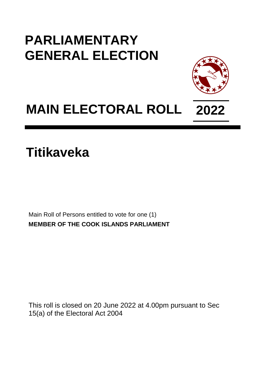## **PARLIAMENTARY GENERAL ELECTION**



# **MAIN ELECTORAL ROLL 2022**

**Titikaveka**

Main Roll of Persons entitled to vote for one (1) **MEMBER OF THE COOK ISLANDS PARLIAMENT**

This roll is closed on 20 June 2022 at 4.00pm pursuant to Sec 15(a) of the Electoral Act 2004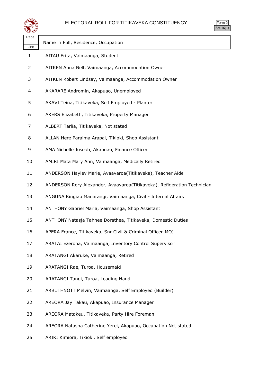

| orm<br>╯     |
|--------------|
| $\mathbf{r}$ |

| ∽                  |                                                                         |
|--------------------|-------------------------------------------------------------------------|
| Page<br>1.<br>Line | Name in Full, Residence, Occupation                                     |
| 1                  | AITAU Erita, Vaimaanga, Student                                         |
| $\overline{2}$     | AITKEN Anna Nell, Vaimaanga, Accommodation Owner                        |
| 3                  | AITKEN Robert Lindsay, Vaimaanga, Accommodation Owner                   |
| 4                  | AKARARE Andromin, Akapuao, Unemployed                                   |
| 5                  | AKAVI Teina, Titikaveka, Self Employed - Planter                        |
| 6                  | AKERS Elizabeth, Titikaveka, Property Manager                           |
| 7                  | ALBERT Tarlia, Titikaveka, Not stated                                   |
| 8                  | ALLAN Here Paraima Arapai, Tikioki, Shop Assistant                      |
| 9                  | AMA Nicholle Joseph, Akapuao, Finance Officer                           |
| 10                 | AMIRI Mata Mary Ann, Vaimaanga, Medically Retired                       |
| 11                 | ANDERSON Hayley Marie, Avaavaroa(Titikaveka), Teacher Aide              |
| 12                 | ANDERSON Rory Alexander, Avaavaroa(Titikaveka), Refigeration Technician |
| 13                 | ANGUNA Ringiao Manarangi, Vaimaanga, Civil - Internal Affairs           |
| 14                 | ANTHONY Gabriel Maria, Vaimaanga, Shop Assistant                        |
| 15                 | ANTHONY Natasja Tahnee Dorathea, Titikaveka, Domestic Duties            |
| 16                 | APERA France, Titikaveka, Snr Civil & Criminal Officer-MOJ              |
| 17                 | ARATAI Ezerona, Vaimaanga, Inventory Control Supervisor                 |
| 18                 | ARATANGI Akaruke, Vaimaanga, Retired                                    |
| 19                 | ARATANGI Rae, Turoa, Housemaid                                          |
| 20                 | ARATANGI Tangi, Turoa, Leading Hand                                     |
| 21                 | ARBUTHNOTT Melvin, Vaimaanga, Self Employed (Builder)                   |
| 22                 | AREORA Jay Takau, Akapuao, Insurance Manager                            |
| 23                 | AREORA Matakeu, Titikaveka, Party Hire Foreman                          |
| 24                 | AREORA Natasha Catherine Yerei, Akapuao, Occupation Not stated          |
| 25                 | ARIKI Kimiora, Tikioki, Self employed                                   |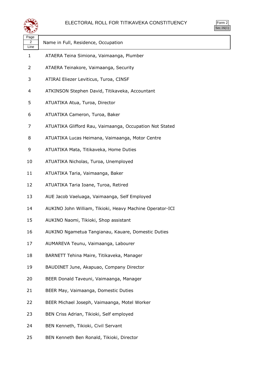

| 7<br>Ξ<br>л |
|-------------|
|             |

| પ∓∗∀                           |                                                          |
|--------------------------------|----------------------------------------------------------|
| Page<br>$\overline{2}$<br>Line | Name in Full, Residence, Occupation                      |
| $\mathbf{1}$                   | ATAERA Teina Simiona, Vaimaanga, Plumber                 |
| 2                              | ATAERA Teinakore, Vaimaanga, Security                    |
| 3                              | ATIRAI Eliezer Leviticus, Turoa, CINSF                   |
| 4                              | ATKINSON Stephen David, Titikaveka, Accountant           |
| 5                              | ATUATIKA Atua, Turoa, Director                           |
| 6                              | ATUATIKA Cameron, Turoa, Baker                           |
| 7                              | ATUATIKA Glifford Rau, Vaimaanga, Occupation Not Stated  |
| 8                              | ATUATIKA Lucas Heimana, Vaimaanga, Motor Centre          |
| 9                              | ATUATIKA Mata, Titikaveka, Home Duties                   |
| 10                             | ATUATIKA Nicholas, Turoa, Unemployed                     |
| 11                             | ATUATIKA Taria, Vaimaanga, Baker                         |
| 12                             | ATUATIKA Taria Ioane, Turoa, Retired                     |
| 13                             | AUE Jacob Vaeluaga, Vaimaanga, Self Employed             |
| 14                             | AUKINO John William, Tikioki, Heavy Machine Operator-ICI |
| 15                             | AUKINO Naomi, Tikioki, Shop assistant                    |
| 16                             | AUKINO Ngametua Tangianau, Kauare, Domestic Duties       |
| 17                             | AUMAREVA Teunu, Vaimaanga, Labourer                      |
| 18                             | BARNETT Tehina Maire, Titikaveka, Manager                |
| 19                             | BAUDINET June, Akapuao, Company Director                 |
| 20                             | BEER Donald Taveuni, Vaimaanga, Manager                  |
| 21                             | BEER May, Vaimaanga, Domestic Duties                     |
| 22                             | BEER Michael Joseph, Vaimaanga, Motel Worker             |
| 23                             | BEN Criss Adrian, Tikioki, Self employed                 |
| 24                             | BEN Kenneth, Tikioki, Civil Servant                      |
| 25                             | BEN Kenneth Ben Ronald, Tikioki, Director                |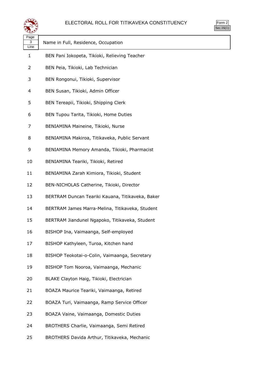

| orm<br>╭ |
|----------|
| ٠.       |

 $\overline{\phantom{a}}$ 

| Page<br>3<br>Line | Name in Full, Residence, Occupation              |
|-------------------|--------------------------------------------------|
| 1                 | BEN Pani Iokopeta, Tikioki, Relieving Teacher    |
| 2                 | BEN Peia, Tikioki, Lab Technician                |
| 3                 | BEN Rongonui, Tikioki, Supervisor                |
| 4                 | BEN Susan, Tikioki, Admin Officer                |
| 5                 | BEN Tereapii, Tikioki, Shipping Clerk            |
| 6                 | BEN Tupou Tarita, Tikioki, Home Duties           |
| 7                 | BENIAMINA Maineine, Tikioki, Nurse               |
| 8                 | BENIAMINA Makiroa, Titikaveka, Public Servant    |
| 9                 | BENIAMINA Memory Amanda, Tikioki, Pharmacist     |
| 10                | BENIAMINA Teariki, Tikioki, Retired              |
| 11                | BENIAMINA Zarah Kimiora, Tikioki, Student        |
| 12                | BEN-NICHOLAS Catherine, Tikioki, Director        |
| 13                | BERTRAM Duncan Teariki Kauana, Titikaveka, Baker |
| 14                | BERTRAM James Marra-Melina, Titikaveka, Student  |
| 15                | BERTRAM Jiandunel Ngapoko, Titikaveka, Student   |
| 16                | BISHOP Ina, Vaimaanga, Self-employed             |
| 17                | BISHOP Kathyleen, Turoa, Kitchen hand            |
| 18                | BISHOP Teokotai-o-Colin, Vaimaanga, Secretary    |
| 19                | BISHOP Tom Nooroa, Vaimaanga, Mechanic           |
| 20                | BLAKE Clayton Haig, Tikioki, Electrician         |
| 21                | BOAZA Maurice Teariki, Vaimaanga, Retired        |
| 22                | BOAZA Turi, Vaimaanga, Ramp Service Officer      |
| 23                | BOAZA Vaine, Vaimaanga, Domestic Duties          |
| 24                | BROTHERS Charlie, Vaimaanga, Semi Retired        |
| 25                | BROTHERS Davida Arthur, Titikaveka, Mechanic     |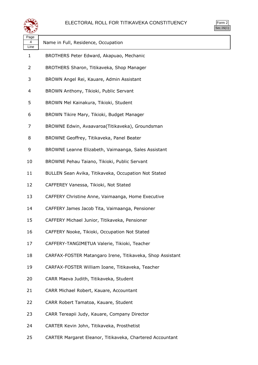



| Name in Full, Residence, Occupation                       |
|-----------------------------------------------------------|
| BROTHERS Peter Edward, Akapuao, Mechanic                  |
| BROTHERS Sharon, Titikaveka, Shop Manager                 |
| BROWN Angel Rei, Kauare, Admin Assistant                  |
| BROWN Anthony, Tikioki, Public Servant                    |
| BROWN Mel Kainakura, Tikioki, Student                     |
| BROWN Tikire Mary, Tikioki, Budget Manager                |
| BROWNE Edwin, Avaavaroa(Titikaveka), Groundsman           |
| BROWNE Geoffrey, Titikaveka, Panel Beater                 |
| BROWNE Leanne Elizabeth, Vaimaanga, Sales Assistant       |
| BROWNE Pehau Taiano, Tikioki, Public Servant              |
| BULLEN Sean Avika, Titikaveka, Occupation Not Stated      |
| CAFFEREY Vanessa, Tikioki, Not Stated                     |
| CAFFERY Christine Anne, Vaimaanga, Home Executive         |
| CAFFERY James Jacob Tita, Vaimaanga, Pensioner            |
| CAFFERY Michael Junior, Titikaveka, Pensioner             |
| CAFFERY Nooke, Tikioki, Occupation Not Stated             |
| CAFFERY-TANGIMETUA Valerie, Tikioki, Teacher              |
| CARFAX-FOSTER Matangaro Irene, Titikaveka, Shop Assistant |
| CARFAX-FOSTER William Ioane, Titikaveka, Teacher          |
| CARR Maeva Judith, Titikaveka, Student                    |
| CARR Michael Robert, Kauare, Accountant                   |
| CARR Robert Tamatoa, Kauare, Student                      |
| CARR Tereapii Judy, Kauare, Company Director              |
| CARTER Kevin John, Titikaveka, Prosthetist                |
|                                                           |

CARTER Margaret Eleanor, Titikaveka, Chartered Accountant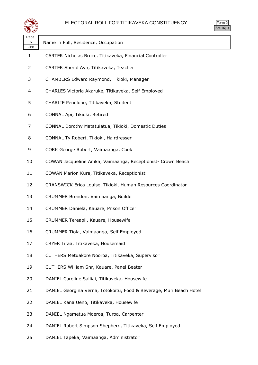

| ∽                 |                                                                     |
|-------------------|---------------------------------------------------------------------|
| Page<br>5<br>Line | Name in Full, Residence, Occupation                                 |
| 1                 | CARTER Nicholas Bruce, Titikaveka, Financial Controller             |
| $\overline{2}$    | CARTER Sherid Ayn, Titikaveka, Teacher                              |
| 3                 | CHAMBERS Edward Raymond, Tikioki, Manager                           |
| 4                 | CHARLES Victoria Akaruke, Titikaveka, Self Employed                 |
| 5                 | CHARLIE Penelope, Titikaveka, Student                               |
| 6                 | CONNAL Api, Tikioki, Retired                                        |
| 7                 | CONNAL Dorothy Matatuiatua, Tikioki, Domestic Duties                |
| 8                 | CONNAL Ty Robert, Tikioki, Hairdresser                              |
| 9                 | CORK George Robert, Vaimaanga, Cook                                 |
| 10                | COWAN Jacqueline Anika, Vaimaanga, Receptionist- Crown Beach        |
| 11                | COWAN Marion Kura, Titikaveka, Receptionist                         |
| 12                | CRANSWICK Erica Louise, Tikioki, Human Resources Coordinator        |
| 13                | CRUMMER Brendon, Vaimaanga, Builder                                 |
| 14                | CRUMMER Daniela, Kauare, Prison Officer                             |
| 15                | CRUMMER Tereapii, Kauare, Housewife                                 |
| 16                | CRUMMER Tiola, Vaimaanga, Self Employed                             |
| 17                | CRYER Tiraa, Titikaveka, Housemaid                                  |
| 18                | CUTHERS Metuakore Nooroa, Titikaveka, Supervisor                    |
| 19                | CUTHERS William Snr, Kauare, Panel Beater                           |
| 20                | DANIEL Caroline Sailiai, Titikaveka, Housewife                      |
| 21                | DANIEL Georgina Verna, Totokoitu, Food & Beverage, Muri Beach Hotel |
| 22                | DANIEL Kana Ueno, Titikaveka, Housewife                             |
| 23                | DANIEL Ngametua Moeroa, Turoa, Carpenter                            |
| 24                | DANIEL Robert Simpson Shepherd, Titikaveka, Self Employed           |
| 25                | DANIEL Tapeka, Vaimaanga, Administrator                             |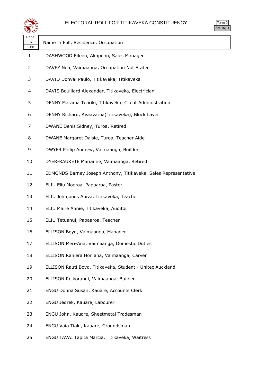



| ≪±≠∠              |                                                                 |
|-------------------|-----------------------------------------------------------------|
| Page<br>6<br>Line | Name in Full, Residence, Occupation                             |
| 1                 | DASHWOOD Eileen, Akapuao, Sales Manager                         |
| 2                 | DAVEY Noa, Vaimaanga, Occupation Not Stated                     |
| 3                 | DAVID Donyai Paulo, Titikaveka, Titikaveka                      |
| 4                 | DAVIS Bouillard Alexander, Titikaveka, Electrician              |
| 5                 | DENNY Marama Teariki, Titikaveka, Client Administration         |
| 6                 | DENNY Richard, Avaavaroa(Titikaveka), Block Layer               |
| 7                 | DWANE Denis Sidney, Turoa, Retired                              |
| 8                 | DWANE Margaret Daisie, Turoa, Teacher Aide                      |
| 9                 | DWYER Philip Andrew, Vaimaanga, Builder                         |
| 10                | DYER-RAUKETE Marianne, Vaimaanga, Retired                       |
| 11                | EDMONDS Barney Joseph Anthony, Titikaveka, Sales Representative |
| 12                | ELIU Eliu Moeroa, Papaaroa, Pastor                              |
| 13                | ELIU Johnjones Auiva, Titikaveka, Teacher                       |
| 14                | ELIU Maire Annie, Titikaveka, Auditor                           |
| 15                | ELIU Tetuanui, Papaaroa, Teacher                                |
| 16                | ELLISON Boyd, Vaimaanga, Manager                                |
| 17                | ELLISON Meri-Ana, Vaimaanga, Domestic Duties                    |
| 18                | ELLISON Raniera Honiana, Vaimaanga, Carver                      |
| 19                | ELLISON Rauti Boyd, Titikaveka, Student - Unitec Auckland       |
| 20                | ELLISON Reikorangi, Vaimaanga, Builder                          |
| 21                | ENGU Donna Susan, Kauare, Accounts Clerk                        |
| 22                | ENGU Jedrek, Kauare, Labourer                                   |
| 23                | ENGU John, Kauare, Sheetmetal Tradesman                         |
| 24                | ENGU Vaia Tiaki, Kauare, Groundsman                             |
| 25                | ENGU TAVAI Tapita Marcia, Titikaveka, Waitress                  |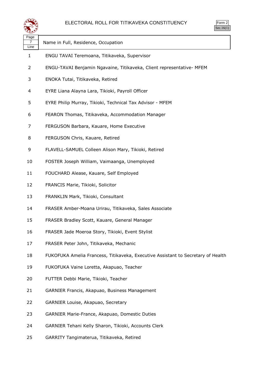

| Page<br>Line | Name in Full, Residence, Occupation                                              |
|--------------|----------------------------------------------------------------------------------|
| 1            | ENGU TAVAI Teremoana, Titikaveka, Supervisor                                     |
| 2            | ENGU-TAVAI Benjamin Ngavaine, Titikaveka, Client representative- MFEM            |
| 3            | ENOKA Tutai, Titikaveka, Retired                                                 |
| 4            | EYRE Liana Alayna Lara, Tikioki, Payroll Officer                                 |
| 5            | EYRE Philip Murray, Tikioki, Technical Tax Advisor - MFEM                        |
| 6            | FEARON Thomas, Titikaveka, Accommodation Manager                                 |
| 7            | FERGUSON Barbara, Kauare, Home Executive                                         |
| 8            | FERGUSON Chris, Kauare, Retired                                                  |
| 9            | FLAVELL-SAMUEL Colleen Alison Mary, Tikioki, Retired                             |
| 10           | FOSTER Joseph William, Vaimaanga, Unemployed                                     |
| 11           | FOUCHARD Alease, Kauare, Self Employed                                           |
| 12           | FRANCIS Marie, Tikioki, Solicitor                                                |
| 13           | FRANKLIN Mark, Tikioki, Consultant                                               |
| 14           | FRASER Amber-Moana Urirau, Titikaveka, Sales Associate                           |
| 15           | FRASER Bradley Scott, Kauare, General Manager                                    |
| 16           | FRASER Jade Moeroa Story, Tikioki, Event Stylist                                 |
| 17           | FRASER Peter John, Titikaveka, Mechanic                                          |
| 18           | FUKOFUKA Amelia Francess, Titikaveka, Executive Assistant to Secretary of Health |
| 19           | FUKOFUKA Vaine Loretta, Akapuao, Teacher                                         |
| 20           | FUTTER Debbi Marie, Tikioki, Teacher                                             |
| 21           | GARNIER Francis, Akapuao, Business Management                                    |
| 22           | GARNIER Louise, Akapuao, Secretary                                               |
| 23           | GARNIER Marie-France, Akapuao, Domestic Duties                                   |
| 24           | GARNIER Tehani Kelly Sharon, Tikioki, Accounts Clerk                             |
| 25           | GARRITY Tangimaterua, Titikaveka, Retired                                        |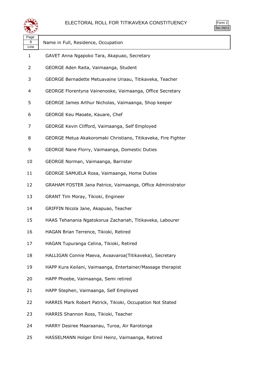

| Page<br>8 | Name in Full, Residence, Occupation                           |
|-----------|---------------------------------------------------------------|
| Line      |                                                               |
| 1         | GAVET Anna Ngapoko Tara, Akapuao, Secretary                   |
| 2         | GEORGE Aden Raita, Vaimaanga, Student                         |
| 3         | GEORGE Bernadette Metuavaine Uriaau, Titikaveka, Teacher      |
| 4         | GEORGE Florentyna Vainenooke, Vaimaanga, Office Secretary     |
| 5         | GEORGE James Arthur Nicholas, Vaimaanga, Shop keeper          |
| 6         | GEORGE Keu Maoate, Kauare, Chef                               |
| 7         | GEORGE Kevin Clifford, Vaimaanga, Self Employed               |
| 8         | GEORGE Metua Akakoromaki Christiano, Titikaveka, Fire Fighter |
| 9         | GEORGE Nane Florry, Vaimaanga, Domestic Duties                |
| 10        | GEORGE Norman, Vaimaanga, Barrister                           |
| 11        | GEORGE SAMUELA Rosa, Vaimaanga, Home Duties                   |
| 12        | GRAHAM FOSTER Jana Patrice, Vaimaanga, Office Administrator   |
| 13        | GRANT Tim Moray, Tikioki, Engineer                            |
| 14        | GRIFFIN Nicola Jane, Akapuao, Teacher                         |
| 15        | HAAS Tehanania Ngatokorua Zachariah, Titikaveka, Labourer     |
| 16        | HAGAN Brian Terrence, Tikioki, Retired                        |
| 17        | HAGAN Tupuranga Celina, Tikioki, Retired                      |
| 18        | HALLIGAN Connie Maeva, Avaavaroa(Titikaveka), Secretary       |
| 19        | HAPP Kura Keilani, Vaimaanga, Entertainer/Massage therapist   |
| 20        | HAPP Phoebe, Vaimaanga, Semi retired                          |
| 21        | HAPP Stephen, Vaimaanga, Self Employed                        |
| 22        | HARRIS Mark Robert Patrick, Tikioki, Occupation Not Stated    |
| 23        | HARRIS Shannon Ross, Tikioki, Teacher                         |
| 24        | HARRY Desiree Maaraanau, Turoa, Air Rarotonga                 |
| 25        | HASSELMANN Holger Emil Heinz, Vaimaanga, Retired              |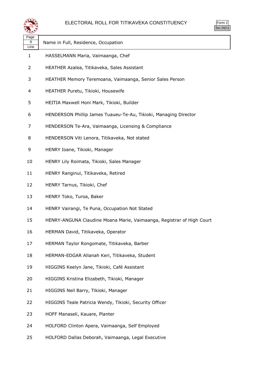

| لتقطع             |                                                                       | 000.10 |
|-------------------|-----------------------------------------------------------------------|--------|
| Page<br>9<br>Line | Name in Full, Residence, Occupation                                   |        |
| 1                 | HASSELMANN Maria, Vaimaanga, Chef                                     |        |
| 2                 | HEATHER Azalea, Titikaveka, Sales Assistant                           |        |
| 3                 | HEATHER Memory Teremoana, Vaimaanga, Senior Sales Person              |        |
| 4                 | HEATHER Puretu, Tikioki, Housewife                                    |        |
| 5                 | HEITIA Maxwell Honi Mark, Tikioki, Builder                            |        |
| 6                 | HENDERSON Phillip James Tuaueu-Te-Au, Tikioki, Managing Director      |        |
| 7                 | HENDERSON Te-Ara, Vaimaanga, Licensing & Compliance                   |        |
| 8                 | HENDERSON Viti Lenora, Titikaveka, Not stated                         |        |
| 9                 | HENRY Ioane, Tikioki, Manager                                         |        |
| 10                | HENRY Lily Roimata, Tikioki, Sales Manager                            |        |
| 11                | HENRY Ranginui, Titikaveka, Retired                                   |        |
| 12                | HENRY Tarnus, Tikioki, Chef                                           |        |
| 13                | HENRY Toko, Turoa, Baker                                              |        |
| 14                | HENRY Vairangi, Te Puna, Occupation Not Stated                        |        |
| 15                | HENRY-ANGUNA Claudine Moana Marie, Vaimaanga, Registrar of High Court |        |
| 16                | HERMAN David, Titikaveka, Operator                                    |        |
| 17                | HERMAN Taylor Rongomate, Titikaveka, Barber                           |        |
| 18                | HERMAN-EDGAR Allanah Keri, Titikaveka, Student                        |        |
| 19                | HIGGINS Keelyn Jane, Tikioki, Café Assistant                          |        |
| 20                | HIGGINS Kristina Elizabeth, Tikioki, Manager                          |        |
| 21                | HIGGINS Neil Barry, Tikioki, Manager                                  |        |
| 22                | HIGGINS Teale Patricia Wendy, Tikioki, Security Officer               |        |
| 23                | HOFF Manaseli, Kauare, Planter                                        |        |
| 24                | HOLFORD Clinton Apera, Vaimaanga, Self Employed                       |        |
|                   |                                                                       |        |

HOLFORD Dallas Deborah, Vaimaanga, Legal Executive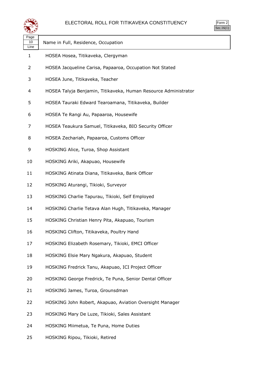

| Name in Full, Residence, Occupation                             |
|-----------------------------------------------------------------|
| HOSEA Hosea, Titikaveka, Clergyman                              |
| HOSEA Jacqueline Carisa, Papaaroa, Occupation Not Stated        |
| HOSEA June, Titikaveka, Teacher                                 |
| HOSEA Talyja Benjamin, Titikaveka, Human Resource Administrator |
| HOSEA Tauraki Edward Tearoamana, Titikaveka, Builder            |
| HOSEA Te Rangi Au, Papaaroa, Housewife                          |
| HOSEA Teaukura Samuel, Titikaveka, BIO Security Officer         |
| HOSEA Zechariah, Papaaroa, Customs Officer                      |
| HOSKING Alice, Turoa, Shop Assistant                            |
| HOSKING Ariki, Akapuao, Housewife                               |
| HOSKING Atinata Diana, Titikaveka, Bank Officer                 |
| HOSKING Aturangi, Tikioki, Surveyor                             |
| HOSKING Charlie Tapurau, Tikioki, Self Employed                 |
| HOSKING Charlie Tetava Alan Hugh, Titikaveka, Manager           |
| HOSKING Christian Henry Pita, Akapuao, Tourism                  |
| HOSKING Clifton, Titikaveka, Poultry Hand                       |
| HOSKING Elizabeth Rosemary, Tikioki, EMCI Officer               |
| HOSKING Elsie Mary Ngakura, Akapuao, Student                    |
| HOSKING Fredrick Tanu, Akapuao, ICI Project Officer             |
| HOSKING George Fredrick, Te Puna, Senior Dental Officer         |
| HOSKING James, Turoa, Grounsdman                                |
| HOSKING John Robert, Akapuao, Aviation Oversight Manager        |
| HOSKING Mary De Luze, Tikioki, Sales Assistant                  |
| HOSKING Miimetua, Te Puna, Home Duties                          |
|                                                                 |

HOSKING Ripou, Tikioki, Retired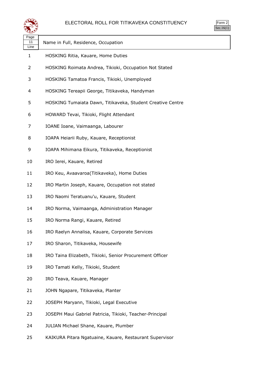



| પ∓≠У               |                                                            |
|--------------------|------------------------------------------------------------|
| Page<br>11<br>Line | Name in Full, Residence, Occupation                        |
| $\mathbf{1}$       | HOSKING Ritia, Kauare, Home Duties                         |
| 2                  | HOSKING Roimata Andrea, Tikioki, Occupation Not Stated     |
| 3                  | HOSKING Tamatoa Francis, Tikioki, Unemployed               |
| 4                  | HOSKING Tereapii George, Titikaveka, Handyman              |
| 5                  | HOSKING Tumaiata Dawn, Titikaveka, Student Creative Centre |
| 6                  | HOWARD Tevai, Tikioki, Flight Attendant                    |
| 7                  | IOANE Ioane, Vaimaanga, Labourer                           |
| 8                  | IOAPA Heiarii Ruby, Kauare, Receptionist                   |
| 9                  | IOAPA Mihimana Eikura, Titikaveka, Receptionist            |
| 10                 | IRO Ierei, Kauare, Retired                                 |
| 11                 | IRO Keu, Avaavaroa(Titikaveka), Home Duties                |
| 12                 | IRO Martin Joseph, Kauare, Occupation not stated           |
| 13                 | IRO Naomi Teratuanu'u, Kauare, Student                     |
| 14                 | IRO Norma, Vaimaanga, Administration Manager               |
| 15                 | IRO Norma Rangi, Kauare, Retired                           |
| 16                 | IRO Raelyn Annalisa, Kauare, Corporate Services            |
| 17                 | IRO Sharon, Titikaveka, Housewife                          |
| 18                 | IRO Taina Elizabeth, Tikioki, Senior Procurement Officer   |
| 19                 | IRO Tamati Kelly, Tikioki, Student                         |
| 20                 | IRO Teava, Kauare, Manager                                 |
| 21                 | JOHN Ngapare, Titikaveka, Planter                          |
| 22                 | JOSEPH Maryann, Tikioki, Legal Executive                   |
| 23                 | JOSEPH Maui Gabriel Patricia, Tikioki, Teacher-Principal   |
| 24                 | JULIAN Michael Shane, Kauare, Plumber                      |
| 25                 | KAIKURA Pitara Ngatuaine, Kauare, Restaurant Supervisor    |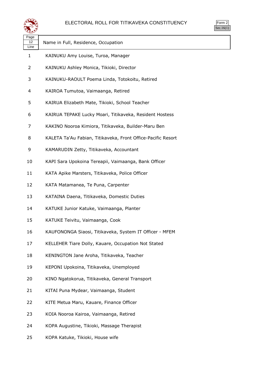



| Page<br>12<br>Line | Name in Full, Residence, Occupation                          |
|--------------------|--------------------------------------------------------------|
| 1                  | KAINUKU Amy Louise, Turoa, Manager                           |
| 2                  | KAINUKU Ashley Monica, Tikioki, Director                     |
| 3                  | KAINUKU-RAOULT Poema Linda, Totokoitu, Retired               |
| 4                  | KAIROA Tumutoa, Vaimaanga, Retired                           |
| 5                  | KAIRUA Elizabeth Mate, Tikioki, School Teacher               |
| 6                  | KAIRUA TEPAKE Lucky Moari, Titikaveka, Resident Hostess      |
| 7                  | KAKINO Nooroa Kimiora, Titikaveka, Builder-Maru Ben          |
| 8                  | KALETA Ta'Au Fabian, Titikaveka, Front Office-Pacific Resort |
| 9                  | KAMARUDIN Zetty, Titikaveka, Accountant                      |
| 10                 | KAPI Sara Upokoina Tereapii, Vaimaanga, Bank Officer         |
| 11                 | KATA Apike Marsters, Titikaveka, Police Officer              |
| 12                 | KATA Matamanea, Te Puna, Carpenter                           |
| 13                 | KATAINA Daena, Titikaveka, Domestic Duties                   |
| 14                 | KATUKE Junior Katuke, Vaimaanga, Planter                     |
| 15                 | KATUKE Teivitu, Vaimaanga, Cook                              |
| 16                 | KAUFONONGA Siaosi, Titikaveka, System IT Officer - MFEM      |
| 17                 | KELLEHER Tiare Dolly, Kauare, Occupation Not Stated          |
| 18                 | KENINGTON Jane Aroha, Titikaveka, Teacher                    |
| 19                 | KEPONI Upokoina, Titikaveka, Unemployed                      |
| 20                 | KINO Ngatokorua, Titikaveka, General Transport               |
| 21                 | KITAI Puna Mydear, Vaimaanga, Student                        |
| 22                 | KITE Metua Maru, Kauare, Finance Officer                     |
| 23                 | KOIA Nooroa Kairoa, Vaimaanga, Retired                       |
| 24                 | KOPA Augustine, Tikioki, Massage Therapist                   |
| 25                 | KOPA Katuke, Tikioki, House wife                             |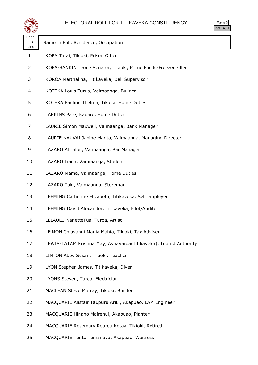

| ≍±≠                |                                                                    |
|--------------------|--------------------------------------------------------------------|
| Page<br>13<br>Line | Name in Full, Residence, Occupation                                |
| 1                  | KOPA Tutai, Tikioki, Prison Officer                                |
| 2                  | KOPA-RANKIN Leone Senator, Tikioki, Prime Foods-Freezer Filler     |
| 3                  | KOROA Marthalina, Titikaveka, Deli Supervisor                      |
| 4                  | KOTEKA Louis Turua, Vaimaanga, Builder                             |
| 5                  | KOTEKA Pauline Thelma, Tikioki, Home Duties                        |
| 6                  | LARKINS Pare, Kauare, Home Duties                                  |
| 7                  | LAURIE Simon Maxwell, Vaimaanga, Bank Manager                      |
| 8                  | LAURIE-KAUVAI Janine Marito, Vaimaanga, Managing Director          |
| 9                  | LAZARO Absalon, Vaimaanga, Bar Manager                             |
| 10                 | LAZARO Liana, Vaimaanga, Student                                   |
| 11                 | LAZARO Mama, Vaimaanga, Home Duties                                |
| 12                 | LAZARO Taki, Vaimaanga, Storeman                                   |
| 13                 | LEEMING Catherine Elizabeth, Titikaveka, Self employed             |
| 14                 | LEEMING David Alexander, Titikaveka, Pilot/Auditor                 |
| 15                 | LELAULU NanetteTua, Turoa, Artist                                  |
| 16                 | LE'MON Chiavanni Mania Mahia, Tikioki, Tax Adviser                 |
| 17                 | LEWIS-TATAM Kristina May, Avaavaroa(Titikaveka), Tourist Authority |
| 18                 | LINTON Abby Susan, Tikioki, Teacher                                |
| 19                 | LYON Stephen James, Titikaveka, Diver                              |
| 20                 | LYONS Steven, Turoa, Electrician                                   |
| 21                 | MACLEAN Steve Murray, Tikioki, Builder                             |
| 22                 | MACQUARIE Alistair Taupuru Ariki, Akapuao, LAM Engineer            |
| 23                 | MACQUARIE Hinano Mairenui, Akapuao, Planter                        |
| 24                 | MACQUARIE Rosemary Reureu Kotaa, Tikioki, Retired                  |
| 25                 | MACQUARIE Terito Temanava, Akapuao, Waitress                       |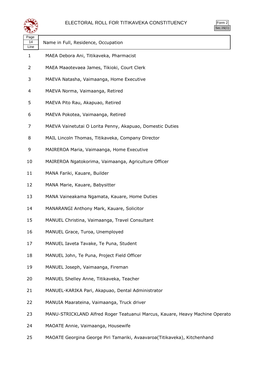



| ື້                 |                                                                              |
|--------------------|------------------------------------------------------------------------------|
| Page<br>14<br>Line | Name in Full, Residence, Occupation                                          |
| 1                  | MAEA Debora Ani, Titikaveka, Pharmacist                                      |
| 2                  | MAEA Maaotevaea James, Tikioki, Court Clerk                                  |
| 3                  | MAEVA Natasha, Vaimaanga, Home Executive                                     |
| 4                  | MAEVA Norma, Vaimaanga, Retired                                              |
| 5                  | MAEVA Pito Rau, Akapuao, Retired                                             |
| 6                  | MAEVA Pokotea, Vaimaanga, Retired                                            |
| 7                  | MAEVA Vainetutai O Lorita Penny, Akapuao, Domestic Duties                    |
| 8                  | MAIL Lincoln Thomas, Titikaveka, Company Director                            |
| 9                  | MAIREROA Maria, Vaimaanga, Home Executive                                    |
| 10                 | MAIREROA Ngatokorima, Vaimaanga, Agriculture Officer                         |
| 11                 | MANA Fariki, Kauare, Builder                                                 |
| 12                 | MANA Marie, Kauare, Babysitter                                               |
| 13                 | MANA Vaineakama Ngamata, Kauare, Home Duties                                 |
| 14                 | MANARANGI Anthony Mark, Kauare, Solicitor                                    |
| 15                 | MANUEL Christina, Vaimaanga, Travel Consultant                               |
| 16                 | MANUEL Grace, Turoa, Unemployed                                              |
| 17                 | MANUEL Iaveta Tavake, Te Puna, Student                                       |
| 18                 | MANUEL John, Te Puna, Project Field Officer                                  |
| 19                 | MANUEL Joseph, Vaimaanga, Fireman                                            |
| 20                 | MANUEL Shelley Anne, Titikaveka, Teacher                                     |
| 21                 | MANUEL-KARIKA Pari, Akapuao, Dental Administrator                            |
| 22                 | MANUIA Maarateina, Vaimaanga, Truck driver                                   |
| 23                 | MANU-STRICKLAND Alfred Roger Teatuanui Marcus, Kauare, Heavy Machine Operato |
| 24                 | MAOATE Annie, Vaimaanga, Housewife                                           |

MAOATE Georgina George Piri Tamariki, Avaavaroa(Titikaveka), Kitchenhand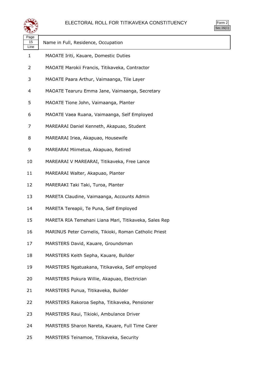### ELECTORAL ROLL FOR TITIKAVEKA CONSTITUENCY



| પ⊷                 |                                                        |
|--------------------|--------------------------------------------------------|
| Page<br>15<br>Line | Name in Full, Residence, Occupation                    |
| $\mathbf{1}$       | MAOATE Iriti, Kauare, Domestic Duties                  |
| 2                  | MAOATE Marokii Francis, Titikaveka, Contractor         |
| 3                  | MAOATE Paara Arthur, Vaimaanga, Tile Layer             |
| 4                  | MAOATE Tearuru Emma Jane, Vaimaanga, Secretary         |
| 5                  | MAOATE Tione John, Vaimaanga, Planter                  |
| 6                  | MAOATE Vaea Ruana, Vaimaanga, Self Employed            |
| 7                  | MAREARAI Daniel Kenneth, Akapuao, Student              |
| 8                  | MAREARAI Iriea, Akapuao, Housewife                     |
| 9                  | MAREARAI Miimetua, Akapuao, Retired                    |
| 10                 | MAREARAI V MAREARAI, Titikaveka, Free Lance            |
| 11                 | MAREARAI Walter, Akapuao, Planter                      |
| 12                 | MARERAKI Taki Taki, Turoa, Planter                     |
| 13                 | MARETA Claudine, Vaimaanga, Accounts Admin             |
| 14                 | MARETA Tereapii, Te Puna, Self Employed                |
| 15                 | MARETA RIA Temehani Liana Mari, Titikaveka, Sales Rep  |
| 16                 | MARINUS Peter Cornelis, Tikioki, Roman Catholic Priest |
| 17                 | MARSTERS David, Kauare, Groundsman                     |
| 18                 | MARSTERS Keith Sepha, Kauare, Builder                  |
| 19                 | MARSTERS Ngatuakana, Titikaveka, Self employed         |
| 20                 | MARSTERS Pokura Willie, Akapuao, Electrician           |
| 21                 | MARSTERS Punua, Titikaveka, Builder                    |
| 22                 | MARSTERS Rakoroa Sepha, Titikaveka, Pensioner          |
| 23                 | MARSTERS Raui, Tikioki, Ambulance Driver               |
| 24                 | MARSTERS Sharon Nareta, Kauare, Full Time Carer        |
| 25                 | MARSTERS Teinamoe, Titikaveka, Security                |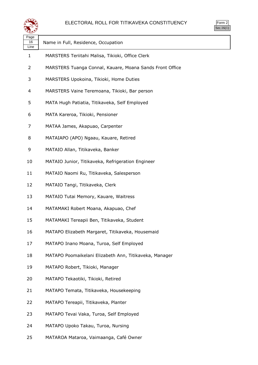

| ື້                 |                                                          |
|--------------------|----------------------------------------------------------|
| Page<br>16<br>Line | Name in Full, Residence, Occupation                      |
| 1                  | MARSTERS Teriitahi Malisa, Tikioki, Office Clerk         |
| 2                  | MARSTERS Tuanga Connal, Kauare, Moana Sands Front Office |
| 3                  | MARSTERS Upokoina, Tikioki, Home Duties                  |
| 4                  | MARSTERS Vaine Teremoana, Tikioki, Bar person            |
| 5                  | MATA Hugh Patiatia, Titikaveka, Self Employed            |
| 6                  | MATA Kareroa, Tikioki, Pensioner                         |
| 7                  | MATAA James, Akapuao, Carpenter                          |
| 8                  | MATAIAPO (APO) Ngaau, Kauare, Retired                    |
| 9                  | MATAIO Allan, Titikaveka, Banker                         |
| 10                 | MATAIO Junior, Titikaveka, Refrigeration Engineer        |
| 11                 | MATAIO Naomi Ru, Titikaveka, Salesperson                 |
| 12                 | MATAIO Tangi, Titikaveka, Clerk                          |
| 13                 | MATAIO Tutai Memory, Kauare, Waitress                    |
| 14                 | MATAMAKI Robert Moana, Akapuao, Chef                     |
| 15                 | MATAMAKI Tereapii Ben, Titikaveka, Student               |
| 16                 | MATAPO Elizabeth Margaret, Titikaveka, Housemaid         |
| 17                 | MATAPO Inano Moana, Turoa, Self Employed                 |
| 18                 | MATAPO Poomaikelani Elizabeth Ann, Titikaveka, Manager   |
| 19                 | MATAPO Robert, Tikioki, Manager                          |
| 20                 | MATAPO Tekaotiki, Tikioki, Retired                       |
| 21                 | MATAPO Temata, Titikaveka, Housekeeping                  |
| 22                 | MATAPO Tereapii, Titikaveka, Planter                     |
| 23                 | MATAPO Tevai Vaka, Turoa, Self Employed                  |
| 24                 | MATAPO Upoko Takau, Turoa, Nursing                       |
| 25                 | MATAROA Mataroa, Vaimaanga, Café Owner                   |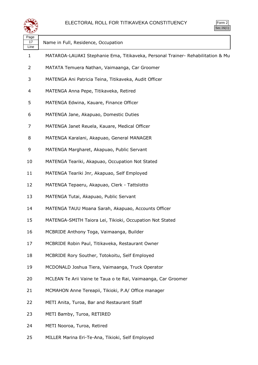

| Page<br>17<br>Line | Name in Full, Residence, Occupation                                             |
|--------------------|---------------------------------------------------------------------------------|
| 1                  | MATAROA-LAUAKI Stephanie Ema, Titikaveka, Personal Trainer- Rehabilitation & Mu |
| 2                  | MATATA Temuera Nathan, Vaimaanga, Car Groomer                                   |
| 3                  | MATENGA Ani Patricia Teina, Titikaveka, Audit Officer                           |
| 4                  | MATENGA Anna Pepe, Titikaveka, Retired                                          |
| 5                  | MATENGA Edwina, Kauare, Finance Officer                                         |
| 6                  | MATENGA Jane, Akapuao, Domestic Duties                                          |
| 7                  | MATENGA Janet Reuela, Kauare, Medical Officer                                   |
| 8                  | MATENGA Karalani, Akapuao, General MANAGER                                      |
| 9                  | MATENGA Margharet, Akapuao, Public Servant                                      |
| 10                 | MATENGA Teariki, Akapuao, Occupation Not Stated                                 |
| 11                 | MATENGA Teariki Jnr, Akapuao, Self Employed                                     |
| 12                 | MATENGA Tepaeru, Akapuao, Clerk - Tattslotto                                    |
| 13                 | MATENGA Tutai, Akapuao, Public Servant                                          |
| 14                 | MATENGA TAUU Moana Sarah, Akapuao, Accounts Officer                             |
| 15                 | MATENGA-SMITH Taiora Lei, Tikioki, Occupation Not Stated                        |
| 16                 | MCBRIDE Anthony Toga, Vaimaanga, Builder                                        |
| 17                 | MCBRIDE Robin Paul, Titikaveka, Restaurant Owner                                |
| 18                 | MCBRIDE Rory Souther, Totokoitu, Self Employed                                  |
| 19                 | MCDONALD Joshua Tiera, Vaimaanga, Truck Operator                                |
| 20                 | MCLEAN Te Arii Vaine te Taua o te Rai, Vaimaanga, Car Groomer                   |
| 21                 | MCMAHON Anne Tereapii, Tikioki, P.A/ Office manager                             |
| 22                 | METI Anita, Turoa, Bar and Restaurant Staff                                     |
| 23                 | METI Bamby, Turoa, RETIRED                                                      |
| 24                 | METI Nooroa, Turoa, Retired                                                     |
| 25                 | MILLER Marina Eri-Te-Ana, Tikioki, Self Employed                                |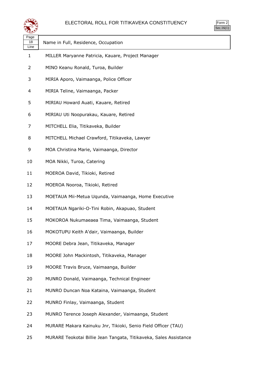

| วrm<br>╯<br>u |
|---------------|
|               |

| પ∓≭У               |                                                                   |
|--------------------|-------------------------------------------------------------------|
| Page<br>18<br>Line | Name in Full, Residence, Occupation                               |
| $\mathbf{1}$       | MILLER Maryanne Patricia, Kauare, Project Manager                 |
| 2                  | MINO Keanu Ronald, Turoa, Builder                                 |
| 3                  | MIRIA Aporo, Vaimaanga, Police Officer                            |
| 4                  | MIRIA Teline, Vaimaanga, Packer                                   |
| 5                  | MIRIAU Howard Auati, Kauare, Retired                              |
| 6                  | MIRIAU Uti Noopurakau, Kauare, Retired                            |
| 7                  | MITCHELL Elia, Titikaveka, Builder                                |
| 8                  | MITCHELL Michael Crawford, Titikaveka, Lawyer                     |
| 9                  | MOA Christina Marie, Vaimaanga, Director                          |
| 10                 | MOA Nikki, Turoa, Catering                                        |
| 11                 | MOEROA David, Tikioki, Retired                                    |
| 12                 | MOEROA Nooroa, Tikioki, Retired                                   |
| 13                 | MOETAUA Mii-Metua Uqunda, Vaimaanga, Home Executive               |
| 14                 | MOETAUA Ngariki-O-Tini Robin, Akapuao, Student                    |
| 15                 | MOKOROA Nukumaeaea Tima, Vaimaanga, Student                       |
| 16                 | MOKOTUPU Keith A'dair, Vaimaanga, Builder                         |
| 17                 | MOORE Debra Jean, Titikaveka, Manager                             |
| 18                 | MOORE John Mackintosh, Titikaveka, Manager                        |
| 19                 | MOORE Travis Bruce, Vaimaanga, Builder                            |
| 20                 | MUNRO Donald, Vaimaanga, Technical Engineer                       |
| 21                 | MUNRO Duncan Noa Kataina, Vaimaanga, Student                      |
| 22                 | MUNRO Finlay, Vaimaanga, Student                                  |
| 23                 | MUNRO Terence Joseph Alexander, Vaimaanga, Student                |
| 24                 | MURARE Makara Kainuku Jnr, Tikioki, Senio Field Officer (TAU)     |
| 25                 | MURARE Teokotai Billie Jean Tangata, Titikaveka, Sales Assistance |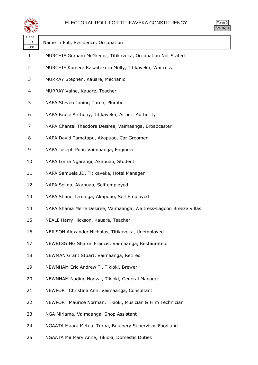

| Page<br>19<br>Line | Name in Full, Residence, Occupation                                 |
|--------------------|---------------------------------------------------------------------|
| 1                  | MURCHIE Graham McGregor, Titikaveka, Occupation Not Stated          |
| 2                  | MURCHIE Komera Rakaitekura Molly, Titikaveka, Waitress              |
| 3                  | MURRAY Stephen, Kauare, Mechanic                                    |
| 4                  | MURRAY Vaine, Kauare, Teacher                                       |
| 5                  | NAEA Steven Junior, Turoa, Plumber                                  |
| 6                  | NAPA Bruce Anthony, Titikaveka, Airport Authority                   |
| 7                  | NAPA Chantal Theodora Desiree, Vaimaanga, Broadcaster               |
| 8                  | NAPA David Tamatapu, Akapuao, Car Groomer                           |
| 9                  | NAPA Joseph Puai, Vaimaanga, Engineer                               |
| 10                 | NAPA Lorna Ngarangi, Akapuao, Student                               |
| 11                 | NAPA Samuela JD, Titikaveka, Hotel Manager                          |
| 12                 | NAPA Selina, Akapuao, Self employed                                 |
| 13                 | NAPA Shane Tereinga, Akapuao, Self Employed                         |
| 14                 | NAPA Shania Merle Desiree, Vaimaanga, Waitress-Lagoon Breeze Villas |
| 15                 | NEALE Harry Hickson, Kauare, Teacher                                |
| 16                 | NEILSON Alexander Nicholas, Titikaveka, Unemployed                  |
| 17                 | NEWBIGGING Sharon Francis, Vaimaanga, Restaurateur                  |
| 18                 | NEWMAN Grant Stuart, Vaimaanga, Retired                             |
| 19                 | NEWNHAM Eric Andrew Ti, Tikioki, Brewer                             |
| 20                 | NEWNHAM Nadine Noovai, Tikioki, General Manager                     |
| 21                 | NEWPORT Christina Ann, Vaimaanga, Consultant                        |
| 22                 | NEWPORT Maurice Norman, Tikioki, Musician & Film Technician         |
| 23                 | NGA Miriama, Vaimaanga, Shop Assistant                              |
| 24                 | NGAATA Maara Metua, Turoa, Butchery Supervisor-Foodland             |

NGAATA Mii Mary Anne, Tikioki, Domestic Duties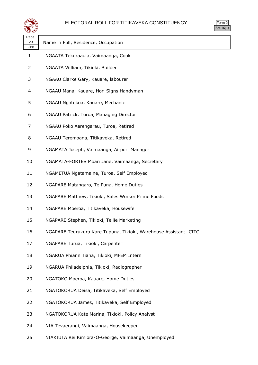

| rm<br>ч, |
|----------|
|          |

| ເ±ະ∕               |                                                                   |
|--------------------|-------------------------------------------------------------------|
| Page<br>20<br>Line | Name in Full, Residence, Occupation                               |
| 1                  | NGAATA Tekuraauia, Vaimaanga, Cook                                |
| 2                  | NGAATA William, Tikioki, Builder                                  |
| 3                  | NGAAU Clarke Gary, Kauare, labourer                               |
| 4                  | NGAAU Mana, Kauare, Hori Signs Handyman                           |
| 5                  | NGAAU Ngatokoa, Kauare, Mechanic                                  |
| 6                  | NGAAU Patrick, Turoa, Managing Director                           |
| 7                  | NGAAU Poko Aerengarau, Turoa, Retired                             |
| 8                  | NGAAU Teremoana, Titikaveka, Retired                              |
| 9                  | NGAMATA Joseph, Vaimaanga, Airport Manager                        |
| 10                 | NGAMATA-FORTES Moari Jane, Vaimaanga, Secretary                   |
| 11                 | NGAMETUA Ngatamaine, Turoa, Self Employed                         |
| 12                 | NGAPARE Matangaro, Te Puna, Home Duties                           |
| 13                 | NGAPARE Matthew, Tikioki, Sales Worker Prime Foods                |
| 14                 | NGAPARE Moeroa, Titikaveka, Housewife                             |
| 15                 | NGAPARE Stephen, Tikioki, Tellie Marketing                        |
| 16                 | NGAPARE Teurukura Kare Tupuna, Tikioki, Warehouse Assistant -CITC |
| 17                 | NGAPARE Turua, Tikioki, Carpenter                                 |
| 18                 | NGARUA Phiann Tiana, Tikioki, MFEM Intern                         |
| 19                 | NGARUA Philadelphia, Tikioki, Radiographer                        |
| 20                 | NGATOKO Moeroa, Kauare, Home Duties                               |
| 21                 | NGATOKORUA Deisa, Titikaveka, Self Employed                       |
| 22                 | NGATOKORUA James, Titikaveka, Self Employed                       |
| 23                 | NGATOKORUA Kate Marina, Tikioki, Policy Analyst                   |
| 24                 | NIA Tevaerangi, Vaimaanga, Housekeeper                            |
|                    |                                                                   |

NIAKIUTA Rei Kimiora-O-George, Vaimaanga, Unemployed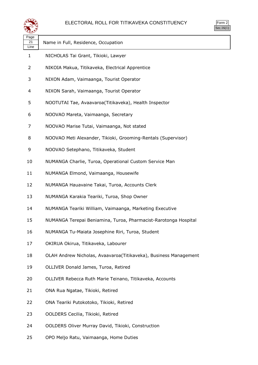

| s.<br>rm |  |
|----------|--|
|          |  |

| Page<br>21<br>Line | Name in Full, Residence, Occupation                              |
|--------------------|------------------------------------------------------------------|
| $\mathbf{1}$       | NICHOLAS Tai Grant, Tikioki, Lawyer                              |
| 2                  | NIKOIA Makua, Titikaveka, Electrical Apprentice                  |
| 3                  | NIXON Adam, Vaimaanga, Tourist Operator                          |
| 4                  | NIXON Sarah, Vaimaanga, Tourist Operator                         |
| 5                  | NOOTUTAI Tae, Avaavaroa(Titikaveka), Health Inspector            |
| 6                  | NOOVAO Mareta, Vaimaanga, Secretary                              |
| 7                  | NOOVAO Marise Tutai, Vaimaanga, Not stated                       |
| 8                  | NOOVAO Meti Alexander, Tikioki, Grooming-Rentals (Supervisor)    |
| 9                  | NOOVAO Setephano, Titikaveka, Student                            |
| 10                 | NUMANGA Charlie, Turoa, Operational Custom Service Man           |
| 11                 | NUMANGA Elmond, Vaimaanga, Housewife                             |
| 12                 | NUMANGA Hauavaine Takai, Turoa, Accounts Clerk                   |
| 13                 | NUMANGA Karakia Teariki, Turoa, Shop Owner                       |
| 14                 | NUMANGA Teariki William, Vaimaanga, Marketing Executive          |
| 15                 | NUMANGA Terepai Beniamina, Turoa, Pharmacist-Rarotonga Hospital  |
| 16                 | NUMANGA Tu-Maiata Josephine Riri, Turoa, Student                 |
| 17                 | OKIRUA Okirua, Titikaveka, Labourer                              |
| 18                 | OLAH Andrew Nicholas, Avaavaroa(Titikaveka), Business Management |
| 19                 | OLLIVER Donald James, Turoa, Retired                             |
| 20                 | OLLIVER Rebecca Ruth Marie Teinano, Titikaveka, Accounts         |
| 21                 | ONA Rua Ngatae, Tikioki, Retired                                 |
| 22                 | ONA Teariki Putokotoko, Tikioki, Retired                         |
| 23                 | OOLDERS Cecilia, Tikioki, Retired                                |
| 24                 | OOLDERS Oliver Murray David, Tikioki, Construction               |
| 25                 | OPO Meljo Ratu, Vaimaanga, Home Duties                           |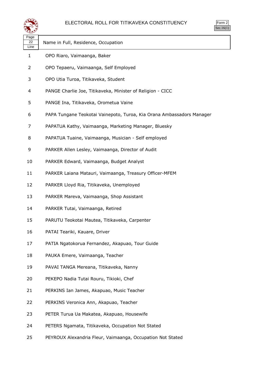



| فتفقي              |                                                                       | $rac{1}{2}$ |
|--------------------|-----------------------------------------------------------------------|-------------|
| Page<br>22<br>Line | Name in Full, Residence, Occupation                                   |             |
| $\mathbf{1}$       | OPO Riaro, Vaimaanga, Baker                                           |             |
| 2                  | OPO Tepaeru, Vaimaanga, Self Employed                                 |             |
| 3                  | OPO Utia Turoa, Titikaveka, Student                                   |             |
| 4                  | PANGE Charlie Joe, Titikaveka, Minister of Religion - CICC            |             |
| 5                  | PANGE Ina, Titikaveka, Orometua Vaine                                 |             |
| 6                  | PAPA Tungane Teokotai Vainepoto, Turoa, Kia Orana Ambassadors Manager |             |
| 7                  | PAPATUA Kathy, Vaimaanga, Marketing Manager, Bluesky                  |             |
| 8                  | PAPATUA Tuaine, Vaimaanga, Musician - Self employed                   |             |
| 9                  | PARKER Allen Lesley, Vaimaanga, Director of Audit                     |             |
| 10                 | PARKER Edward, Vaimaanga, Budget Analyst                              |             |
| 11                 | PARKER Laiana Matauri, Vaimaanga, Treasury Officer-MFEM               |             |
| 12                 | PARKER Lloyd Ria, Titikaveka, Unemployed                              |             |
| 13                 | PARKER Mareva, Vaimaanga, Shop Assistant                              |             |
| 14                 | PARKER Tutai, Vaimaanga, Retired                                      |             |
| 15                 | PARUTU Teokotai Mautea, Titikaveka, Carpenter                         |             |
| 16                 | PATAI Teariki, Kauare, Driver                                         |             |
| 17                 | PATIA Ngatokorua Fernandez, Akapuao, Tour Guide                       |             |
| 18                 | PAUKA Emere, Vaimaanga, Teacher                                       |             |
| 19                 | PAVAI TANGA Mereana, Titikaveka, Nanny                                |             |
| 20                 | PEKEPO Nadia Tutai Rouru, Tikioki, Chef                               |             |
| 21                 | PERKINS Ian James, Akapuao, Music Teacher                             |             |
| 22                 | PERKINS Veronica Ann, Akapuao, Teacher                                |             |
| 23                 | PETER Turua Ua Makatea, Akapuao, Housewife                            |             |
| 24                 | PETERS Ngamata, Titikaveka, Occupation Not Stated                     |             |
| 25                 | PEYROUX Alexandria Fleur, Vaimaanga, Occupation Not Stated            |             |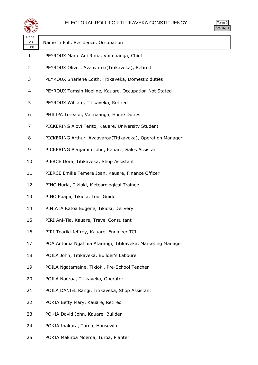

| Page<br>23<br>Line | Name in Full, Residence, Occupation                         |
|--------------------|-------------------------------------------------------------|
| 1                  | PEYROUX Marie Ani Rima, Vaimaanga, Chief                    |
| 2                  | PEYROUX Oliver, Avaavaroa(Titikaveka), Retired              |
| 3                  | PEYROUX Sharlene Edith, Titikaveka, Domestic duties         |
| 4                  | PEYROUX Tamsin Noeline, Kauare, Occupation Not Stated       |
| 5                  | PEYROUX William, Titikaveka, Retired                        |
| 6                  | PHILIPA Tereapii, Vaimaanga, Home Duties                    |
| 7                  | PICKERING Alovi Terito, Kauare, University Student          |
| 8                  | PICKERING Arthur, Avaavaroa(Titikaveka), Operation Manager  |
| 9                  | PICKERING Benjamin John, Kauare, Sales Assistant            |
| 10                 | PIERCE Dora, Titikaveka, Shop Assistant                     |
| 11                 | PIERCE Emilie Temere Joan, Kauare, Finance Officer          |
| 12                 | PIHO Huria, Tikioki, Meteorological Trainee                 |
| 13                 | PIHO Puapii, Tikioki, Tour Guide                            |
| 14                 | PINIATA Katoa Eugene, Tikioki, Delivery                     |
| 15                 | PIRI Ani-Tia, Kauare, Travel Consultant                     |
| 16                 | PIRI Teariki Jeffrey, Kauare, Engineer TCI                  |
| 17                 | POA Antonia Ngahuia Atarangi, Titikaveka, Marketing Manager |
| 18                 | POILA John, Titikaveka, Builder's Labourer                  |
| 19                 | POILA Ngatamaine, Tikioki, Pre-School Teacher               |
| 20                 | POILA Nooroa, Titikaveka, Operator                          |
| 21                 | POILA DANIEL Rangi, Titikaveka, Shop Assistant              |
| 22                 | POKIA Betty Mary, Kauare, Retired                           |
| 23                 | POKIA David John, Kauare, Builder                           |
| 24                 | POKIA Inakura, Turoa, Housewife                             |
|                    |                                                             |

POKIA Makiroa Moeroa, Turoa, Planter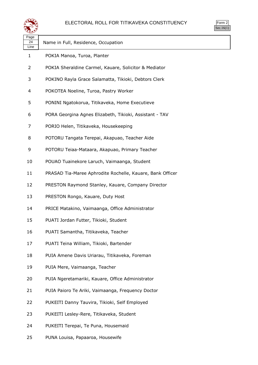

| Page<br>24<br>Line | Name in Full, Residence, Occupation                       |
|--------------------|-----------------------------------------------------------|
| $\mathbf{1}$       | POKIA Manoa, Turoa, Planter                               |
| 2                  | POKIA Sheraldine Carmel, Kauare, Solicitor & Mediator     |
| 3                  | POKINO Rayla Grace Salamatta, Tikioki, Debtors Clerk      |
| 4                  | POKOTEA Noeline, Turoa, Pastry Worker                     |
| 5                  | PONINI Ngatokorua, Titikaveka, Home Executieve            |
| 6                  | PORA Georgina Agnes Elizabeth, Tikioki, Assistant - TAV   |
| 7                  | PORIO Helen, Titikaveka, Housekeeping                     |
| 8                  | POTORU Tangata Terepai, Akapuao, Teacher Aide             |
| 9                  | POTORU Teiaa-Mataara, Akapuao, Primary Teacher            |
| 10                 | POUAO Tuainekore Laruch, Vaimaanga, Student               |
| 11                 | PRASAD Tia-Maree Aphrodite Rochelle, Kauare, Bank Officer |
| 12                 | PRESTON Raymond Stanley, Kauare, Company Director         |
| 13                 | PRESTON Rongo, Kauare, Duty Host                          |
| 14                 | PRICE Matakino, Vaimaanga, Office Administrator           |
| 15                 | PUATI Jordan Futter, Tikioki, Student                     |
| 16                 | PUATI Samantha, Titikaveka, Teacher                       |
| 17                 | PUATI Teina William, Tikioki, Bartender                   |
| 18                 | PUIA Amene Davis Uriarau, Titikaveka, Foreman             |
| 19                 | PUIA Mere, Vaimaanga, Teacher                             |
| 20                 | PUIA Ngeretamariki, Kauare, Office Administrator          |
| 21                 | PUIA Paioro Te Ariki, Vaimaanga, Frequency Doctor         |
| 22                 | PUKEITI Danny Tauvira, Tikioki, Self Employed             |
| 23                 | PUKEITI Lesley-Rere, Titikaveka, Student                  |
| 24                 | PUKEITI Terepai, Te Puna, Housemaid                       |

PUNA Louisa, Papaaroa, Housewife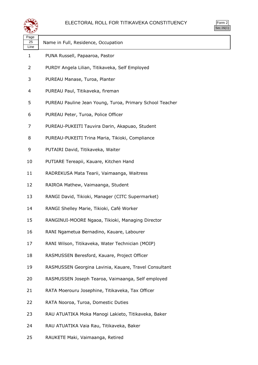

| .)rm |
|------|
| ÷    |

| र∓⊁        |                                                          |
|------------|----------------------------------------------------------|
| Page<br>25 | Name in Full, Residence, Occupation                      |
| Line       |                                                          |
| 1          | PUNA Russell, Papaaroa, Pastor                           |
| 2          | PURDY Angela Lilian, Titikaveka, Self Employed           |
| 3          | PUREAU Manase, Turoa, Planter                            |
| 4          | PUREAU Paul, Titikaveka, fireman                         |
| 5          | PUREAU Pauline Jean Young, Turoa, Primary School Teacher |
| 6          | PUREAU Peter, Turoa, Police Officer                      |
| 7          | PUREAU-PUKEITI Tauvira Darin, Akapuao, Student           |
| 8          | PUREAU-PUKEITI Trina Maria, Tikioki, Compliance          |
| 9          | PUTAIRI David, Titikaveka, Waiter                        |
| 10         | PUTIARE Tereapii, Kauare, Kitchen Hand                   |
| 11         | RADREKUSA Mata Tearii, Vaimaanga, Waitress               |
| 12         | RAIROA Mathew, Vaimaanga, Student                        |
| 13         | RANGI David, Tikioki, Manager (CITC Supermarket)         |
| 14         | RANGI Shelley Marie, Tikioki, Café Worker                |
| 15         | RANGINUI-MOORE Ngaoa, Tikioki, Managing Director         |
| 16         | RANI Ngametua Bernadino, Kauare, Labourer                |
| 17         | RANI Wilson, Titikaveka, Water Technician (MOIP)         |
| 18         | RASMUSSEN Beresford, Kauare, Project Officer             |
| 19         | RASMUSSEN Georgina Lavinia, Kauare, Travel Consultant    |
| 20         | RASMUSSEN Joseph Tearoa, Vaimaanga, Self employed        |
| 21         | RATA Moerouru Josephine, Titikaveka, Tax Officer         |
| 22         | RATA Nooroa, Turoa, Domestic Duties                      |
| 23         | RAU ATUATIKA Moka Manogi Lakieto, Titikaveka, Baker      |
| 24         | RAU ATUATIKA Vaia Rau, Titikaveka, Baker                 |

RAUKETE Maki, Vaimaanga, Retired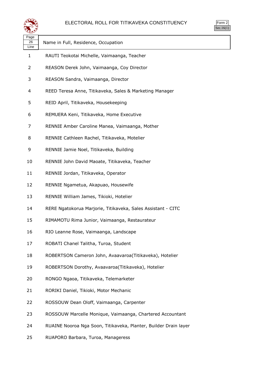



| لتستعيثا           |                                                                  |  |
|--------------------|------------------------------------------------------------------|--|
| Page<br>26<br>Line | Name in Full, Residence, Occupation                              |  |
| 1                  | RAUTI Teokotai Michelle, Vaimaanga, Teacher                      |  |
| 2                  | REASON Derek John, Vaimaanga, Coy Director                       |  |
| 3                  | REASON Sandra, Vaimaanga, Director                               |  |
| 4                  | REED Teresa Anne, Titikaveka, Sales & Marketing Manager          |  |
| 5                  | REID April, Titikaveka, Housekeeping                             |  |
| 6                  | REMUERA Keni, Titikaveka, Home Executive                         |  |
| 7                  | RENNIE Amber Caroline Manea, Vaimaanga, Mother                   |  |
| 8                  | RENNIE Cathleen Rachel, Titikaveka, Motelier                     |  |
| 9                  | RENNIE Jamie Noel, Titikaveka, Building                          |  |
| 10                 | RENNIE John David Maoate, Titikaveka, Teacher                    |  |
| 11                 | RENNIE Jordan, Titikaveka, Operator                              |  |
| 12                 | RENNIE Ngametua, Akapuao, Housewife                              |  |
| 13                 | RENNIE William James, Tikioki, Hotelier                          |  |
| 14                 | RERE Ngatokorua Marjorie, Titikaveka, Sales Assistant - CITC     |  |
| 15                 | RIMAMOTU Rima Junior, Vaimaanga, Restaurateur                    |  |
| 16                 | RIO Leanne Rose, Vaimaanga, Landscape                            |  |
| 17                 | ROBATI Chanel Talitha, Turoa, Student                            |  |
| 18                 | ROBERTSON Cameron John, Avaavaroa(Titikaveka), Hotelier          |  |
| 19                 | ROBERTSON Dorothy, Avaavaroa(Titikaveka), Hotelier               |  |
| 20                 | RONGO Ngaoa, Titikaveka, Telemarketer                            |  |
| 21                 | RORIKI Daniel, Tikioki, Motor Mechanic                           |  |
| 22                 | ROSSOUW Dean Oloff, Vaimaanga, Carpenter                         |  |
| 23                 | ROSSOUW Marcelle Monique, Vaimaanga, Chartered Accountant        |  |
| 24                 | RUAINE Nooroa Nga Soon, Titikaveka, Planter, Builder Drain layer |  |

RUAPORO Barbara, Turoa, Manageress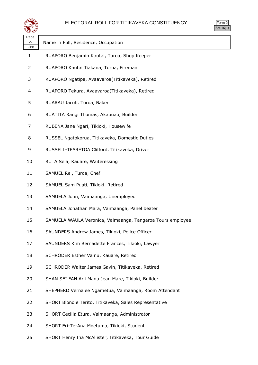### ELECTORAL ROLL FOR TITIKAVEKA CONSTITUENCY



| يوجي               |                                                            | OC.10( |
|--------------------|------------------------------------------------------------|--------|
| Page<br>27<br>Line | Name in Full, Residence, Occupation                        |        |
| 1                  | RUAPORO Benjamin Kautai, Turoa, Shop Keeper                |        |
| 2                  | RUAPORO Kautai Tiakana, Turoa, Fireman                     |        |
| 3                  | RUAPORO Ngatipa, Avaavaroa(Titikaveka), Retired            |        |
| 4                  | RUAPORO Tekura, Avaavaroa(Titikaveka), Retired             |        |
| 5                  | RUARAU Jacob, Turoa, Baker                                 |        |
| 6                  | RUATITA Rangi Thomas, Akapuao, Builder                     |        |
| 7                  | RUBENA Jane Ngari, Tikioki, Housewife                      |        |
| 8                  | RUSSEL Ngatokorua, Titikaveka, Domestic Duties             |        |
| 9                  | RUSSELL-TEARETOA Clifford, Titikaveka, Driver              |        |
| 10                 | RUTA Sela, Kauare, Waiteressing                            |        |
| 11                 | SAMUEL Rei, Turoa, Chef                                    |        |
| 12                 | SAMUEL Sam Puati, Tikioki, Retired                         |        |
| 13                 | SAMUELA John, Vaimaanga, Unemployed                        |        |
| 14                 | SAMUELA Jonathan Mara, Vaimaanga, Panel beater             |        |
| 15                 | SAMUELA WAULA Veronica, Vaimaanga, Tangaroa Tours employee |        |
| 16                 | SAUNDERS Andrew James, Tikioki, Police Officer             |        |
| 17                 | SAUNDERS Kim Bernadette Frances, Tikioki, Lawyer           |        |
| 18                 | SCHRODER Esther Vainu, Kauare, Retired                     |        |
| 19                 | SCHRODER Walter James Gavin, Titikaveka, Retired           |        |
| 20                 | SHAN SEI FAN Arii Manu Jean Mare, Tikioki, Builder         |        |
| 21                 | SHEPHERD Vernalee Ngametua, Vaimaanga, Room Attendant      |        |
| 22                 | SHORT Blondie Terito, Titikaveka, Sales Representative     |        |
| 23                 | SHORT Cecilia Etura, Vaimaanga, Administrator              |        |
| 24                 | SHORT Eri-Te-Ana Moetuma, Tikioki, Student                 |        |
| 25                 | SHORT Henry Ina McAllister, Titikaveka, Tour Guide         |        |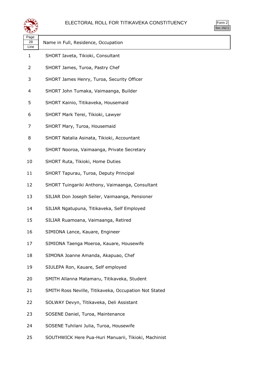#### ELECTORAL ROLL FOR TITIKAVEKA CONSTITUENCY

| Г |
|---|
|   |

|                    |                                                       | Sec.16 |
|--------------------|-------------------------------------------------------|--------|
| Page<br>28<br>Line | Name in Full, Residence, Occupation                   |        |
| $\mathbf{1}$       | SHORT Iaveta, Tikioki, Consultant                     |        |
| 2                  | SHORT James, Turoa, Pastry Chef                       |        |
| 3                  | SHORT James Henry, Turoa, Security Officer            |        |
| 4                  | SHORT John Tumaka, Vaimaanga, Builder                 |        |
| 5                  | SHORT Kainio, Titikaveka, Housemaid                   |        |
| 6                  | SHORT Mark Terei, Tikioki, Lawyer                     |        |
| 7                  | SHORT Mary, Turoa, Housemaid                          |        |
| 8                  | SHORT Natalia Asinata, Tikioki, Accountant            |        |
| 9                  | SHORT Nooroa, Vaimaanga, Private Secretary            |        |
| 10                 | SHORT Ruta, Tikioki, Home Duties                      |        |
| 11                 | SHORT Tapurau, Turoa, Deputy Principal                |        |
| 12                 | SHORT Tuingariki Anthony, Vaimaanga, Consultant       |        |
| 13                 | SILIAR Don Joseph Seiler, Vaimaanga, Pensioner        |        |
| 14                 | SILIAR Ngatupuna, Titikaveka, Self Employed           |        |
| 15                 | SILIAR Ruamoana, Vaimaanga, Retired                   |        |
| 16                 | SIMIONA Lance, Kauare, Engineer                       |        |
| 17                 | SIMIONA Taenga Moeroa, Kauare, Housewife              |        |
| 18                 | SIMONA Joanne Amanda, Akapuao, Chef                   |        |
| 19                 | SIULEPA Ron, Kauare, Self employed                    |        |
| 20                 | SMITH Allanna Matamaru, Titikaveka, Student           |        |
| 21                 | SMITH Ross Neville, Titikaveka, Occupation Not Stated |        |
| 22                 | SOLWAY Devyn, Titikaveka, Deli Assistant              |        |
| 23                 | SOSENE Daniel, Turoa, Maintenance                     |        |
| 24                 | SOSENE Tuhilani Julia, Turoa, Housewife               |        |

SOUTHWICK Here Pua-Huri Manuarii, Tikioki, Machinist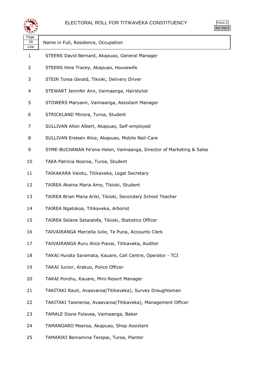

| orm<br>╭ |
|----------|
| ` 1      |

| Page<br>29<br>Line | Name in Full, Residence, Occupation                                  |
|--------------------|----------------------------------------------------------------------|
| 1                  | STEENS David Bernard, Akapuao, General Manager                       |
| 2                  | STEENS Hine Tracey, Akapuao, Housewife                               |
| 3                  | STEIN Torea Gerald, Tikioki, Delivery Driver                         |
| 4                  | STEWART Jennifer Ann, Vaimaanga, Hairstylist                         |
| 5                  | STOWERS Maryann, Vaimaanga, Assistant Manager                        |
| 6                  | STRICKLAND Minora, Turoa, Student                                    |
| 7                  | SULLIVAN Allen Albert, Akapuao, Self-employed                        |
| 8                  | SULLIVAN Ereleen Alice, Akapuao, Mobile Nail-Care                    |
| 9                  | SYME-BUCHANAN Fe'ena Helen, Vaimaanga, Director of Marketing & Sales |
| 10                 | TAEA Patricia Nooroa, Turoa, Student                                 |
| 11                 | TAIKAKARA Vaiotu, Titikaveka, Legal Secretary                        |
| 12                 | TAIREA Akeina Maria Amy, Tikioki, Student                            |
| 13                 | TAIREA Brian Mana Ariki, Tikioki, Secondary School Teacher           |
| 14                 | TAIREA Ngatokoa, Titikaveka, Arborist                                |
| 15                 | TAIREA Selane Setaialofa, Tikioki, Statistics Officer                |
| 16                 | TAIVAIRANGA Marcella Julie, Te Puna, Accounts Clerk                  |
| 17                 | TAIVAIRANGA Ruru Alice Piavai, Titikaveka, Auditor                   |
| 18                 | TAKAI Hurata Saramata, Kauare, Call Centre, Operator - TCI           |
| 19                 | TAKAI Junior, Arakuo, Police Officer                                 |
| 20                 | TAKAI Porohu, Kauare, Mini-Resort Manager                            |
| 21                 | TAKITAKI Rauti, Avaavaroa(Titikaveka), Survey Draughtsman            |
| 22                 | TAKITAKI Taieneroa, Avaavaroa(Titikaveka), Management Officer        |
| 23                 | TAMALE Sione Folavea, Vaimaanga, Baker                               |
| 24                 | TAMANGARO Moeroa, Akapuao, Shop Assistant                            |
|                    |                                                                      |

TAMARIKI Beniamina Terepai, Turoa, Planter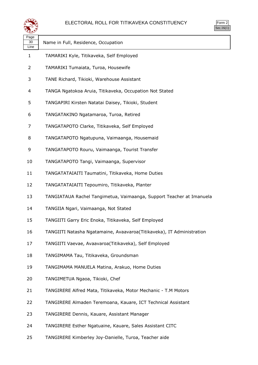

| orm<br>╯ |
|----------|
|          |

| ∽<br>Page  |                                                                       |
|------------|-----------------------------------------------------------------------|
| 30<br>Line | Name in Full, Residence, Occupation                                   |
| 1          | TAMARIKI Kyle, Titikaveka, Self Employed                              |
| 2          | TAMARIKI Tumaiata, Turoa, Housewife                                   |
| 3          | TANE Richard, Tikioki, Warehouse Assistant                            |
| 4          | TANGA Ngatokoa Aruia, Titikaveka, Occupation Not Stated               |
| 5          | TANGAPIRI Kirsten Natatai Daisey, Tikioki, Student                    |
| 6          | TANGATAKINO Ngatamaroa, Turoa, Retired                                |
| 7          | TANGATAPOTO Clarke, Titikaveka, Self Employed                         |
| 8          | TANGATAPOTO Ngatupuna, Vaimaanga, Housemaid                           |
| 9          | TANGATAPOTO Rouru, Vaimaanga, Tourist Transfer                        |
| 10         | TANGATAPOTO Tangi, Vaimaanga, Supervisor                              |
| 11         | TANGATATAIAITI Taumatini, Titikaveka, Home Duties                     |
| 12         | TANGATATAIAITI Tepoumiro, Titikaveka, Planter                         |
| 13         | TANGIATAUA Rachel Tangimetua, Vaimaanga, Support Teacher at Imanuela  |
| 14         | TANGIIA Ngari, Vaimaanga, Not Stated                                  |
| 15         | TANGIITI Garry Eric Enoka, Titikaveka, Self Employed                  |
| 16         | TANGIITI Natasha Ngatamaine, Avaavaroa(Titikaveka), IT Administration |
| 17         | TANGIITI Vaevae, Avaavaroa(Titikaveka), Self Employed                 |
| 18         | TANGIMAMA Tau, Titikaveka, Groundsman                                 |
| 19         | TANGIMAMA MANUELA Matina, Arakuo, Home Duties                         |
| 20         | TANGIMETUA Ngaoa, Tikioki, Chef                                       |
| 21         | TANGIRERE Alfred Mata, Titikaveka, Motor Mechanic - T.M Motors        |
| 22         | TANGIRERE Almaden Teremoana, Kauare, ICT Technical Assistant          |
| 23         | TANGIRERE Dennis, Kauare, Assistant Manager                           |
| 24         | TANGIRERE Esther Ngatuaine, Kauare, Sales Assistant CITC              |

TANGIRERE Kimberley Joy-Danielle, Turoa, Teacher aide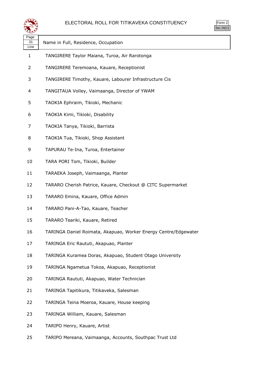

| لتستعيثا           |                                                                 |  |
|--------------------|-----------------------------------------------------------------|--|
| Page<br>31<br>Line | Name in Full, Residence, Occupation                             |  |
| $\mathbf{1}$       | TANGIRERE Taylor Maiana, Turoa, Air Rarotonga                   |  |
| 2                  | TANGIRERE Teremoana, Kauare, Receptionist                       |  |
| 3                  | TANGIRERE Timothy, Kauare, Labourer Infrastructure Cis          |  |
| 4                  | TANGITAUA Volley, Vaimaanga, Director of YWAM                   |  |
| 5                  | TAOKIA Ephraim, Tikioki, Mechanic                               |  |
| 6                  | TAOKIA Kimi, Tikioki, Disability                                |  |
| 7                  | TAOKIA Tanya, Tikioki, Barrista                                 |  |
| 8                  | TAOKIA Tua, Tikioki, Shop Assistant                             |  |
| 9                  | TAPURAU Te-Ina, Turoa, Entertainer                              |  |
| 10                 | TARA PORI Tom, Tikioki, Builder                                 |  |
| 11                 | TARAEKA Joseph, Vaimaanga, Planter                              |  |
| 12                 | TARARO Cherish Patrice, Kauare, Checkout @ CITC Supermarket     |  |
| 13                 | TARARO Emina, Kauare, Office Admin                              |  |
| 14                 | TARARO Pani-A-Tao, Kauare, Teacher                              |  |
| 15                 | TARARO Teariki, Kauare, Retired                                 |  |
| 16                 | TARINGA Daniel Roimata, Akapuao, Worker Energy Centre/Edgewater |  |
| 17                 | TARINGA Eric Raututi, Akapuao, Planter                          |  |
| 18                 | TARINGA Kuramea Doras, Akapuao, Student Otago University        |  |
| 19                 | TARINGA Ngametua Tokoa, Akapuao, Receptionist                   |  |
| 20                 | TARINGA Raututi, Akapuao, Water Technician                      |  |
| 21                 | TARINGA Tapitikura, Titikaveka, Salesman                        |  |
| 22                 | TARINGA Teina Moeroa, Kauare, House keeping                     |  |
| 23                 | TARINGA William, Kauare, Salesman                               |  |
| 24                 | TARIPO Henry, Kauare, Artist                                    |  |
| 25                 | TARIPO Mereana, Vaimaanga, Accounts, Southpac Trust Ltd         |  |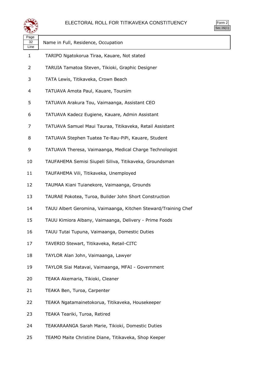

| orm<br>╭ |
|----------|
| ` 1      |

| Page<br>32<br>Line | Name in Full, Residence, Occupation                            |
|--------------------|----------------------------------------------------------------|
| 1                  | TARIPO Ngatokorua Tiraa, Kauare, Not stated                    |
| 2                  | TARUIA Tamatoa Steven, Tikioki, Graphic Designer               |
| 3                  | TATA Lewis, Titikaveka, Crown Beach                            |
| 4                  | TATUAVA Amota Paul, Kauare, Toursim                            |
| 5                  | TATUAVA Arakura Tou, Vaimaanga, Assistant CEO                  |
| 6                  | TATUAVA Kadecz Eugiene, Kauare, Admin Assistant                |
| 7                  | TATUAVA Samuel Maui Tauraa, Titikaveka, Retail Assistant       |
| 8                  | TATUAVA Stephen Tuatea Te-Rau-PiPi, Kauare, Student            |
| 9                  | TATUAVA Theresa, Vaimaanga, Medical Charge Technologist        |
| 10                 | TAUFAHEMA Semisi Siupeli Siliva, Titikaveka, Groundsman        |
| 11                 | TAUFAHEMA Vili, Titikaveka, Unemployed                         |
| 12                 | TAUMAA Kiani Tuianekore, Vaimaanga, Grounds                    |
| 13                 | TAURAE Pokotea, Turoa, Builder John Short Construction         |
| 14                 | TAUU Albert Geromina, Vaimaanga, Kitchen Steward/Training Chef |
| 15                 | TAUU Kimiora Albany, Vaimaanga, Delivery - Prime Foods         |
| 16                 | TAUU Tutai Tupuna, Vaimaanga, Domestic Duties                  |
| 17                 | TAVERIO Stewart, Titikaveka, Retail-CITC                       |
| 18                 | TAYLOR Alan John, Vaimaanga, Lawyer                            |
| 19                 | TAYLOR Siai Matavai, Vaimaanga, MFAI - Government              |
| 20                 | TEAKA Akemaria, Tikioki, Cleaner                               |
| 21                 | TEAKA Ben, Turoa, Carpenter                                    |
| 22                 | TEAKA Ngatamainetokorua, Titikaveka, Housekeeper               |
| 23                 | TEAKA Teariki, Turoa, Retired                                  |
| 24                 | TEAKARAANGA Sarah Marie, Tikioki, Domestic Duties              |
| 25                 | TEAMO Maite Christine Diane, Titikaveka, Shop Keeper           |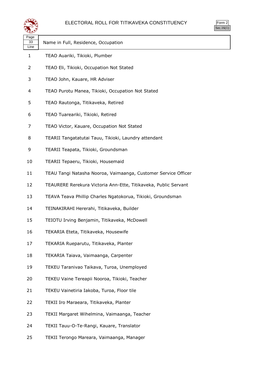

| orm<br>╭       |
|----------------|
| $\blacksquare$ |

| Page<br>33<br>Line | Name in Full, Residence, Occupation                             |
|--------------------|-----------------------------------------------------------------|
| 1                  | TEAO Auariki, Tikioki, Plumber                                  |
| 2                  | TEAO Eli, Tikioki, Occupation Not Stated                        |
| 3                  | TEAO John, Kauare, HR Adviser                                   |
| 4                  | TEAO Purotu Manea, Tikioki, Occupation Not Stated               |
| 5                  | TEAO Rautonga, Titikaveka, Retired                              |
| 6                  | TEAO Tuareariki, Tikioki, Retired                               |
| 7                  | TEAO Victor, Kauare, Occupation Not Stated                      |
| 8                  | TEARII Tangatatutai Tauu, Tikioki, Laundry attendant            |
| 9                  | TEARII Teapata, Tikioki, Groundsman                             |
| 10                 | TEARII Tepaeru, Tikioki, Housemaid                              |
| 11                 | TEAU Tangi Natasha Nooroa, Vaimaanga, Customer Service Officer  |
| 12                 | TEAURERE Rerekura Victoria Ann-Ette, Titikaveka, Public Servant |
| 13                 | TEAVA Teava Phillip Charles Ngatokorua, Tikioki, Groundsman     |
| 14                 | TEINAKIRAHI Hererahi, Titikaveka, Builder                       |
| 15                 | TEIOTU Irving Benjamin, Titikaveka, McDowell                    |
| 16                 | TEKARIA Eteta, Titikaveka, Housewife                            |
| 17                 | TEKARIA Rueparutu, Titikaveka, Planter                          |
| 18                 | TEKARIA Taiava, Vaimaanga, Carpenter                            |
| 19                 | TEKEU Taranivao Taikava, Turoa, Unemployed                      |
| 20                 | TEKEU Vaine Tereapii Nooroa, Tikioki, Teacher                   |
| 21                 | TEKEU Vainetiria Iakoba, Turoa, Floor tile                      |
| 22                 | TEKII Iro Maraeara, Titikaveka, Planter                         |
| 23                 | TEKII Margaret Wihelmina, Vaimaanga, Teacher                    |
| 24                 | TEKII Tauu-O-Te-Rangi, Kauare, Translator                       |

TEKII Terongo Mareara, Vaimaanga, Manager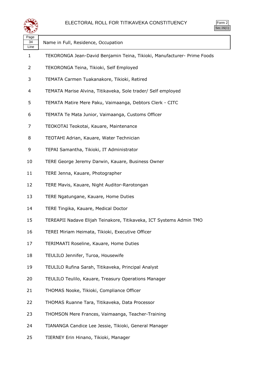

| Page<br>34 | Name in Full, Residence, Occupation                                     |
|------------|-------------------------------------------------------------------------|
| Line<br>1  | TEKORONGA Jean-David Benjamin Teina, Tikioki, Manufacturer- Prime Foods |
| 2          | TEKORONGA Teina, Tikioki, Self Employed                                 |
| 3          | TEMATA Carmen Tuakanakore, Tikioki, Retired                             |
| 4          | TEMATA Marise Alvina, Titikaveka, Sole trader/ Self employed            |
| 5          | TEMATA Matire Mere Paku, Vaimaanga, Debtors Clerk - CITC                |
| 6          | TEMATA Te Mata Junior, Vaimaanga, Customs Officer                       |
| 7          | TEOKOTAI Teokotai, Kauare, Maintenance                                  |
| 8          | TEOTAHI Adrian, Kauare, Water Technician                                |
| 9          | TEPAI Samantha, Tikioki, IT Administrator                               |
| 10         | TERE George Jeremy Darwin, Kauare, Business Owner                       |
| 11         | TERE Jenna, Kauare, Photographer                                        |
| 12         | TERE Mavis, Kauare, Night Auditor-Rarotongan                            |
| 13         | TERE Ngatungane, Kauare, Home Duties                                    |
| 14         | TERE Tingika, Kauare, Medical Doctor                                    |
| 15         | TEREAPII Nadave Elijah Teinakore, Titikaveka, ICT Systems Admin TMO     |
| 16         | TEREI Miriam Heimata, Tikioki, Executive Officer                        |
| 17         | TERIMAATI Roseline, Kauare, Home Duties                                 |
| 18         | TEULILO Jennifer, Turoa, Housewife                                      |
| 19         | TEULILO Rufina Sarah, Titikaveka, Principal Analyst                     |
| 20         | TEULILO Teulilo, Kauare, Treasury Operations Manager                    |
| 21         | THOMAS Nooke, Tikioki, Compliance Officer                               |
| 22         | THOMAS Ruanne Tara, Titikaveka, Data Processor                          |
| 23         | THOMSON Mere Frances, Vaimaanga, Teacher-Training                       |
| 24         | TIANANGA Candice Lee Jessie, Tikioki, General Manager                   |

TIERNEY Erin Hinano, Tikioki, Manager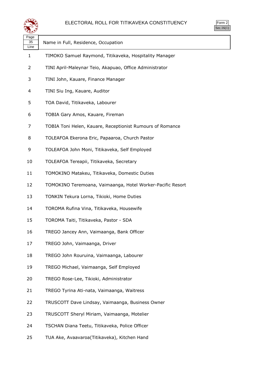

| Page<br>35<br>Line | Name in Full, Residence, Occupation                        |
|--------------------|------------------------------------------------------------|
| 1                  | TIMOKO Samuel Raymond, Titikaveka, Hospitality Manager     |
| 2                  | TINI April-Maleynar Teio, Akapuao, Office Administrator    |
| 3                  | TINI John, Kauare, Finance Manager                         |
| 4                  | TINI Siu Ing, Kauare, Auditor                              |
| 5                  | TOA David, Titikaveka, Labourer                            |
| 6                  | TOBIA Gary Amos, Kauare, Fireman                           |
| 7                  | TOBIA Toni Helen, Kauare, Receptionist Rumours of Romance  |
| 8                  | TOLEAFOA Ekerona Eric, Papaaroa, Church Pastor             |
| 9                  | TOLEAFOA John Moni, Titikaveka, Self Employed              |
| 10                 | TOLEAFOA Tereapii, Titikaveka, Secretary                   |
| 11                 | TOMOKINO Matakeu, Titikaveka, Domestic Duties              |
| 12                 | TOMOKINO Teremoana, Vaimaanga, Hotel Worker-Pacific Resort |
| 13                 | TONKIN Tekura Lorna, Tikioki, Home Duties                  |
| 14                 | TOROMA Rufina Vina, Titikaveka, Housewife                  |
| 15                 | TOROMA Taiti, Titikaveka, Pastor - SDA                     |
| 16                 | TREGO Jancey Ann, Vaimaanga, Bank Officer                  |
| 17                 | TREGO John, Vaimaanga, Driver                              |
| 18                 | TREGO John Rouruina, Vaimaanga, Labourer                   |
| 19                 | TREGO Michael, Vaimaanga, Self Employed                    |
| 20                 | TREGO Rose-Lee, Tikioki, Administrator                     |
| 21                 | TREGO Tyrina Ati-nata, Vaimaanga, Waitress                 |
| 22                 | TRUSCOTT Dave Lindsay, Vaimaanga, Business Owner           |
| 23                 | TRUSCOTT Sheryl Miriam, Vaimaanga, Motelier                |
| 24                 | TSCHAN Diana Teetu, Titikaveka, Police Officer             |
| 25                 | TUA Ake, Avaavaroa(Titikaveka), Kitchen Hand               |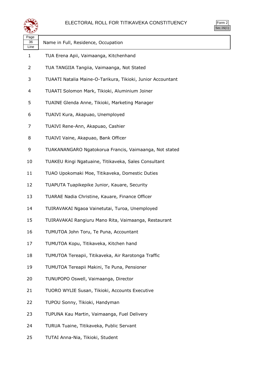

| Page<br>36<br>Line | Name in Full, Residence, Occupation                         |
|--------------------|-------------------------------------------------------------|
| 1                  | TUA Erena Apii, Vaimaanga, Kitchenhand                      |
| 2                  | TUA TANGIIA Tangiia, Vaimaanga, Not Stated                  |
| 3                  | TUAATI Natalia Maine-O-Tarikura, Tikioki, Junior Accountant |
| 4                  | TUAATI Solomon Mark, Tikioki, Aluminium Joiner              |
| 5                  | TUAINE Glenda Anne, Tikioki, Marketing Manager              |
| 6                  | TUAIVI Kura, Akapuao, Unemployed                            |
| 7                  | TUAIVI Rene-Ann, Akapuao, Cashier                           |
| 8                  | TUAIVI Vaine, Akapuao, Bank Officer                         |
| 9                  | TUAKANANGARO Ngatokorua Francis, Vaimaanga, Not stated      |
| 10                 | TUAKEU Ringi Ngatuaine, Titikaveka, Sales Consultant        |
| 11                 | TUAO Upokomaki Moe, Titikaveka, Domestic Duties             |
| 12                 | TUAPUTA Tuapikepike Junior, Kauare, Security                |
| 13                 | TUARAE Nadia Christine, Kauare, Finance Officer             |
| 14                 | TUIRAVAKAI Ngaoa Vainetutai, Turoa, Unemployed              |
| 15                 | TUIRAVAKAI Rangiuru Mano Rita, Vaimaanga, Restaurant        |
| 16                 | TUMUTOA John Toru, Te Puna, Accountant                      |
| 17                 | TUMUTOA Kopu, Titikaveka, Kitchen hand                      |
| 18                 | TUMUTOA Tereapii, Titikaveka, Air Rarotonga Traffic         |
| 19                 | TUMUTOA Tereapii Makini, Te Puna, Pensioner                 |
| 20                 | TUNUPOPO Oswell, Vaimaanga, Director                        |
| 21                 | TUORO WYLIE Susan, Tikioki, Accounts Executive              |
| 22                 | TUPOU Sonny, Tikioki, Handyman                              |
| 23                 | TUPUNA Kau Martin, Vaimaanga, Fuel Delivery                 |
| 24                 | TURUA Tuaine, Titikaveka, Public Servant                    |

TUTAI Anna-Nia, Tikioki, Student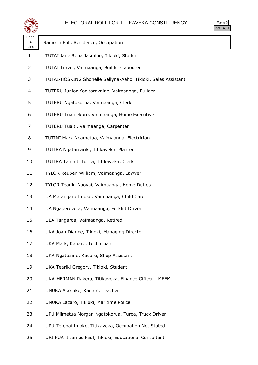

| orm<br>╭ |
|----------|
| ` 1      |

| ີ້ີ້               |                                                               |
|--------------------|---------------------------------------------------------------|
| Page<br>37<br>Line | Name in Full, Residence, Occupation                           |
| 1                  | TUTAI Jane Rena Jasmine, Tikioki, Student                     |
| 2                  | TUTAI Travel, Vaimaanga, Builder-Labourer                     |
| 3                  | TUTAI-HOSKING Shonelle Sellyna-Aeho, Tikioki, Sales Assistant |
| 4                  | TUTERU Junior Konitaravaine, Vaimaanga, Builder               |
| 5                  | TUTERU Ngatokorua, Vaimaanga, Clerk                           |
| 6                  | TUTERU Tuainekore, Vaimaanga, Home Executive                  |
| 7                  | TUTERU Tuaiti, Vaimaanga, Carpenter                           |
| 8                  | TUTINI Mark Ngametua, Vaimaanga, Electrician                  |
| 9                  | TUTIRA Ngatamariki, Titikaveka, Planter                       |
| 10                 | TUTIRA Tamaiti Tutira, Titikaveka, Clerk                      |
| 11                 | TYLOR Reuben William, Vaimaanga, Lawyer                       |
| 12                 | TYLOR Teariki Noovai, Vaimaanga, Home Duties                  |
| 13                 | UA Matangaro Imoko, Vaimaanga, Child Care                     |
| 14                 | UA Ngaperoveta, Vaimaanga, Forklift Driver                    |
| 15                 | UEA Tangaroa, Vaimaanga, Retired                              |
| 16                 | UKA Joan Dianne, Tikioki, Managing Director                   |
| 17                 | UKA Mark, Kauare, Technician                                  |
| 18                 | UKA Ngatuaine, Kauare, Shop Assistant                         |
| 19                 | UKA Teariki Gregory, Tikioki, Student                         |
| 20                 | UKA-HERMAN Rakera, Titikaveka, Finance Officer - MFEM         |
| 21                 | UNUKA Aketuke, Kauare, Teacher                                |
| 22                 | UNUKA Lazaro, Tikioki, Maritime Police                        |
| 23                 | UPU Miimetua Morgan Ngatokorua, Turoa, Truck Driver           |
| 24                 | UPU Terepai Imoko, Titikaveka, Occupation Not Stated          |

URI PUATI James Paul, Tikioki, Educational Consultant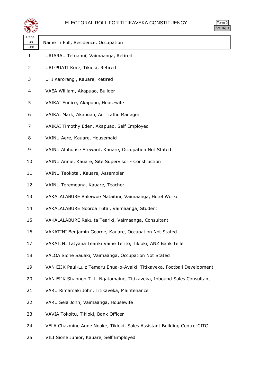

| 25  |  |
|-----|--|
| ٠ ا |  |

| Page<br>38<br>Line | Name in Full, Residence, Occupation                                       |
|--------------------|---------------------------------------------------------------------------|
| $\mathbf{1}$       | URIARAU Tetuanui, Vaimaanga, Retired                                      |
| $\overline{2}$     | URI-PUATI Kore, Tikioki, Retired                                          |
| 3                  | UTI Karorangi, Kauare, Retired                                            |
| 4                  | VAEA William, Akapuao, Builder                                            |
| 5                  | VAIKAI Eunice, Akapuao, Housewife                                         |
| 6                  | VAIKAI Mark, Akapuao, Air Traffic Manager                                 |
| 7                  | VAIKAI Timothy Eden, Akapuao, Self Employed                               |
| 8                  | VAINU Aere, Kauare, Housemaid                                             |
| 9                  | VAINU Alphonse Steward, Kauare, Occupation Not Stated                     |
| 10                 | VAINU Annie, Kauare, Site Supervisor - Construction                       |
| 11                 | VAINU Teokotai, Kauare, Assembler                                         |
| 12                 | VAINU Teremoana, Kauare, Teacher                                          |
| 13                 | VAKALALABURE Baleiwoe Mataitini, Vaimaanga, Hotel Worker                  |
| 14                 | VAKALALABURE Nooroa Tutai, Vaimaanga, Student                             |
| 15                 | VAKALALABURE Rakuita Teariki, Vaimaanga, Consultant                       |
| 16                 | VAKATINI Benjamin George, Kauare, Occupation Not Stated                   |
| 17                 | VAKATINI Tatyana Teariki Vaine Terito, Tikioki, ANZ Bank Teller           |
| 18                 | VALOA Sione Sauaki, Vaimaanga, Occupation Not Stated                      |
| 19                 | VAN EIJK Paul-Luiz Temaru Enua-o-Avaiki, Titikaveka, Football Development |
| 20                 | VAN EIJK Shannon T. L. Ngatamaine, Titikaveka, Inbound Sales Consultant   |
| 21                 | VARU Rimamaki John, Titikaveka, Maintenance                               |
| 22                 | VARU Sela John, Vaimaanga, Housewife                                      |
| 23                 | VAVIA Tokoitu, Tikioki, Bank Officer                                      |
| 24                 | VELA Chazmine Anne Nooke, Tikioki, Sales Assistant Building Centre-CITC   |

VILI Sione Junior, Kauare, Self Employed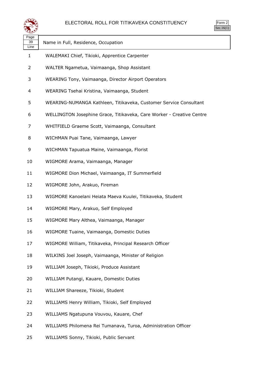



| Page<br>39<br>Line | Name in Full, Residence, Occupation                                   |
|--------------------|-----------------------------------------------------------------------|
| $\mathbf 1$        | WALEMAKI Chief, Tikioki, Apprentice Carpenter                         |
| 2                  | WALTER Ngametua, Vaimaanga, Shop Assistant                            |
| 3                  | WEARING Tony, Vaimaanga, Director Airport Operators                   |
| 4                  | WEARING Tsehai Kristina, Vaimaanga, Student                           |
| 5                  | WEARING-NUMANGA Kathleen, Titikaveka, Customer Service Consultant     |
| 6                  | WELLINGTON Josephine Grace, Titikaveka, Care Worker - Creative Centre |
| 7                  | WHITFIELD Graeme Scott, Vaimaanga, Consultant                         |
| 8                  | WICHMAN Puai Tane, Vaimaanga, Lawyer                                  |
| 9                  | WICHMAN Tapuatua Maine, Vaimaanga, Florist                            |
| 10                 | WIGMORE Arama, Vaimaanga, Manager                                     |
| 11                 | WIGMORE Dion Michael, Vaimaanga, IT Summerfield                       |
| 12                 | WIGMORE John, Arakuo, Fireman                                         |
| 13                 | WIGMORE Kanoelani Heiata Maeva Kuulei, Titikaveka, Student            |
| 14                 | WIGMORE Mary, Arakuo, Self Employed                                   |
| 15                 | WIGMORE Mary Althea, Vaimaanga, Manager                               |
| 16                 | WIGMORE Tuaine, Vaimaanga, Domestic Duties                            |
| 17                 | WIGMORE William, Titikaveka, Principal Research Officer               |
| 18                 | WILKINS Joel Joseph, Vaimaanga, Minister of Religion                  |
| 19                 | WILLIAM Joseph, Tikioki, Produce Assistant                            |
| 20                 | WILLIAM Putangi, Kauare, Domestic Duties                              |
| 21                 | WILLIAM Shareeze, Tikioki, Student                                    |
| 22                 | WILLIAMS Henry William, Tikioki, Self Employed                        |
| 23                 | WILLIAMS Ngatupuna Vouvou, Kauare, Chef                               |
| 24                 | WILLIAMS Philomena Rei Tumanava, Turoa, Administration Officer        |
| 25                 | WILLIAMS Sonny, Tikioki, Public Servant                               |